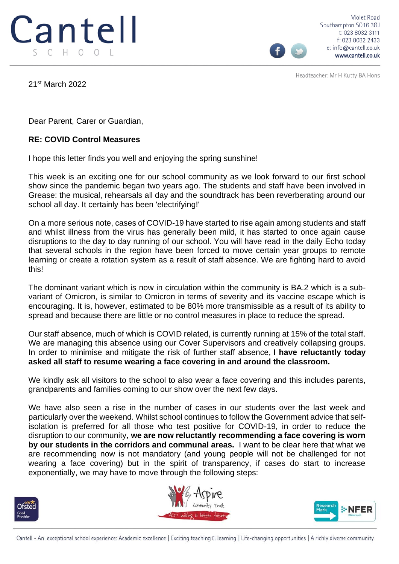

Violet Road Southampton SO16 3GJ t: 023 8032 3111 f: 023 8032 2433 e: info@cantell.co.uk www.cantell.co.uk

Headteacher: Mr H Kutty BA Hons

21st March 2022

Dear Parent, Carer or Guardian,

## **RE: COVID Control Measures**

I hope this letter finds you well and enjoying the spring sunshine!

This week is an exciting one for our school community as we look forward to our first school show since the pandemic began two years ago. The students and staff have been involved in Grease: the musical, rehearsals all day and the soundtrack has been reverberating around our school all day. It certainly has been 'electrifying!'

On a more serious note, cases of COVID-19 have started to rise again among students and staff and whilst illness from the virus has generally been mild, it has started to once again cause disruptions to the day to day running of our school. You will have read in the daily Echo today that several schools in the region have been forced to move certain year groups to remote learning or create a rotation system as a result of staff absence. We are fighting hard to avoid this!

The dominant variant which is now in circulation within the community is BA.2 which is a subvariant of Omicron, is similar to Omicron in terms of severity and its vaccine escape which is encouraging. It is, however, estimated to be 80% more transmissible as a result of its ability to spread and because there are little or no control measures in place to reduce the spread.

Our staff absence, much of which is COVID related, is currently running at 15% of the total staff. We are managing this absence using our Cover Supervisors and creatively collapsing groups. In order to minimise and mitigate the risk of further staff absence, **I have reluctantly today asked all staff to resume wearing a face covering in and around the classroom.**

We kindly ask all visitors to the school to also wear a face covering and this includes parents, grandparents and families coming to our show over the next few days.

We have also seen a rise in the number of cases in our students over the last week and particularly over the weekend. Whilst school continues to follow the Government advice that selfisolation is preferred for all those who test positive for COVID-19, in order to reduce the disruption to our community, **we are now reluctantly recommending a face covering is worn by our students in the corridors and communal areas.** I want to be clear here that what we are recommending now is not mandatory (and young people will not be challenged for not wearing a face covering) but in the spirit of transparency, if cases do start to increase exponentially, we may have to move through the following steps: